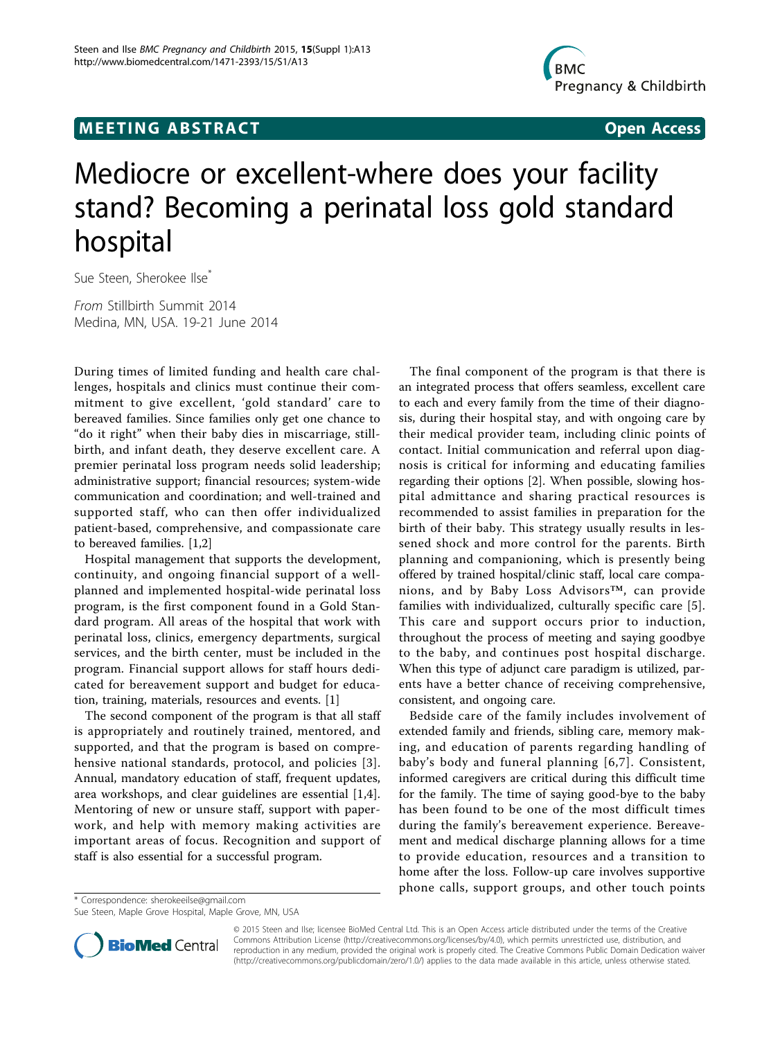## **MEETING ABSTRACT ACCESS**



# Mediocre or excellent-where does your facility stand? Becoming a perinatal loss gold standard hospital

Sue Steen, Sherokee Ilse<sup>\*</sup>

From Stillbirth Summit 2014 Medina, MN, USA. 19-21 June 2014

During times of limited funding and health care challenges, hospitals and clinics must continue their commitment to give excellent, 'gold standard' care to bereaved families. Since families only get one chance to "do it right" when their baby dies in miscarriage, stillbirth, and infant death, they deserve excellent care. A premier perinatal loss program needs solid leadership; administrative support; financial resources; system-wide communication and coordination; and well-trained and supported staff, who can then offer individualized patient-based, comprehensive, and compassionate care to bereaved families. [[1,2\]](#page-1-0)

Hospital management that supports the development, continuity, and ongoing financial support of a wellplanned and implemented hospital-wide perinatal loss program, is the first component found in a Gold Standard program. All areas of the hospital that work with perinatal loss, clinics, emergency departments, surgical services, and the birth center, must be included in the program. Financial support allows for staff hours dedicated for bereavement support and budget for education, training, materials, resources and events. [[1](#page-1-0)]

The second component of the program is that all staff is appropriately and routinely trained, mentored, and supported, and that the program is based on comprehensive national standards, protocol, and policies [[3\]](#page-1-0). Annual, mandatory education of staff, frequent updates, area workshops, and clear guidelines are essential [[1,4](#page-1-0)]. Mentoring of new or unsure staff, support with paperwork, and help with memory making activities are important areas of focus. Recognition and support of staff is also essential for a successful program.

The final component of the program is that there is an integrated process that offers seamless, excellent care to each and every family from the time of their diagnosis, during their hospital stay, and with ongoing care by their medical provider team, including clinic points of contact. Initial communication and referral upon diagnosis is critical for informing and educating families regarding their options [\[2](#page-1-0)]. When possible, slowing hospital admittance and sharing practical resources is recommended to assist families in preparation for the birth of their baby. This strategy usually results in lessened shock and more control for the parents. Birth planning and companioning, which is presently being offered by trained hospital/clinic staff, local care companions, and by Baby Loss Advisors™, can provide families with individualized, culturally specific care [[5](#page-1-0)]. This care and support occurs prior to induction, throughout the process of meeting and saying goodbye to the baby, and continues post hospital discharge. When this type of adjunct care paradigm is utilized, parents have a better chance of receiving comprehensive, consistent, and ongoing care.

Bedside care of the family includes involvement of extended family and friends, sibling care, memory making, and education of parents regarding handling of baby's body and funeral planning [[6](#page-1-0),[7](#page-1-0)]. Consistent, informed caregivers are critical during this difficult time for the family. The time of saying good-bye to the baby has been found to be one of the most difficult times during the family's bereavement experience. Bereavement and medical discharge planning allows for a time to provide education, resources and a transition to home after the loss. Follow-up care involves supportive phone calls, support groups, and other touch points

\* Correspondence: [sherokeeilse@gmail.com](mailto:sherokeeilse@gmail.com)

Sue Steen, Maple Grove Hospital, Maple Grove, MN, USA



© 2015 Steen and Ilse; licensee BioMed Central Ltd. This is an Open Access article distributed under the terms of the Creative Commons Attribution License [\(http://creativecommons.org/licenses/by/4.0](http://creativecommons.org/licenses/by/4.0)), which permits unrestricted use, distribution, and reproduction in any medium, provided the original work is properly cited. The Creative Commons Public Domain Dedication waiver [\(http://creativecommons.org/publicdomain/zero/1.0/](http://creativecommons.org/publicdomain/zero/1.0/)) applies to the data made available in this article, unless otherwise stated.